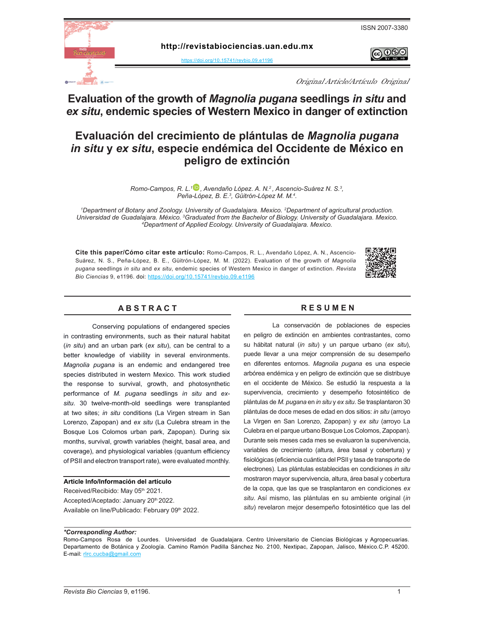

രജ



**http://revistabiociencias.uan.edu.mx** 

<https://doi.org/10.15741/revbio.09.e1196>

Original Article/Artículo Original

# **Evaluation of the growth of** *Magnolia pugana* **seedlings** *in situ* **and**  *ex situ***, endemic species of Western Mexico in danger of extinction**

# **Evaluación del crecimiento de plántulas de** *Magnolia pugana in situ* **y** *ex situ***, especie endémica del Occidente de México en peligro de extinción**

*Romo-Campos, R. L.[1\\* ,](https://orcid.org/0000-0002-4064-7971) Avendaño López. A. N.2 , Ascencio-Suárez N. S.3 , Peña-López, B. E.3 , Güitrón-López M. M.4 .*

*1 Department of Botany and Zoology. University of Guadalajara. Mexico. 2 Department of agricultural production. Universidad de Guadalajara. México. <sup>3</sup> Graduated from the Bachelor of Biology. University of Guadalajara. Mexico. 4 Department of Applied Ecology. University of Guadalajara. Mexico.*

**Cite this paper/Cómo citar este artículo:** Romo-Campos, R. L., Avendaño López, A. N., Ascencio-Suárez, N. S., Peña-López, B. E., Güitrón-López, M. M. (2022). Evaluation of the growth of *Magnolia pugana* seedlings *in situ* and *ex situ*, endemic species of Western Mexico in danger of extinction. *Revista Bio Ciencias* 9, e119[6. doi:](doi: https://doi.org/10.15741/revbio.08.e982
) <https://doi.org/10.15741/revbio.09.e1196>



# A B S T R A C T RESUMEN

Conserving populations of endangered species in contrasting environments, such as their natural habitat (*in situ*) and an urban park (*ex situ*), can be central to a better knowledge of viability in several environments. *Magnolia pugana* is an endemic and endangered tree species distributed in western Mexico. This work studied the response to survival, growth, and photosynthetic performance of *M. pugana* seedlings *in situ* and *exsitu*. 30 twelve-month-old seedlings were transplanted at two sites; *in situ* conditions (La Virgen stream in San Lorenzo, Zapopan) and *ex situ* (La Culebra stream in the Bosque Los Colomos urban park, Zapopan). During six months, survival, growth variables (height, basal area, and coverage), and physiological variables (quantum efficiency of PSII and electron transport rate), were evaluated monthly.

#### **Article Info/Información del artículo**

Received/Recibido: May 05th 2021. Accepted/Aceptado: January 20<sup>th</sup> 2022. Available on line/Publicado: February 09th 2022.

La conservación de poblaciones de especies en peligro de extinción en ambientes contrastantes, como su hábitat natural (*in situ*) y un parque urbano (*ex situ*), puede llevar a una mejor comprensión de su desempeño en diferentes entornos. *Magnolia pugana* es una especie arbórea endémica y en peligro de extinción que se distribuye en el occidente de México. Se estudió la respuesta a la supervivencia, crecimiento y desempeño fotosintético de plántulas de *M. pugana* en *in situ* y *ex situ*. Se trasplantaron 30 plántulas de doce meses de edad en dos sitios: *in situ* (arroyo La Virgen en San Lorenzo, Zapopan) y *ex situ* (arroyo La Culebra en el parque urbano Bosque Los Colomos, Zapopan). Durante seis meses cada mes se evaluaron la supervivencia, variables de crecimiento (altura, área basal y cobertura) y fisiológicas (eficiencia cuántica del PSII y tasa de transporte de electrones). Las plántulas establecidas en condiciones *in situ* mostraron mayor supervivencia, altura, área basal y cobertura de la copa, que las que se trasplantaron en condiciones *ex situ*. Así mismo, las plántulas en su ambiente original (*in situ*) revelaron mejor desempeño fotosintético que las del

#### *\*Corresponding Author:*

Romo-Campos Rosa de Lourdes. Universidad de Guadalajara. Centro Universitario de Ciencias Biológicas y Agropecuarias. Departamento de Botánica y Zoología. Camino Ramón Padilla Sánchez No. 2100, Nextipac, Zapopan, Jalisco, México.C.P. 45200. E-mail: [rlrc.cucba@gmail.com](mailto:rlrc.cucba%40gmail.com?subject=)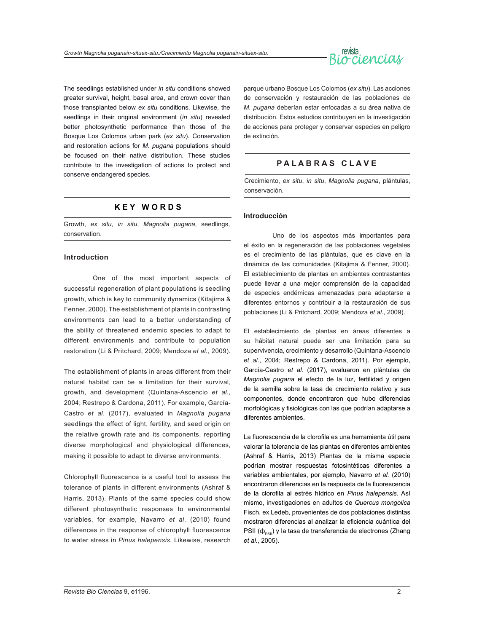

The seedlings established under *in situ* conditions showed greater survival, height, basal area, and crown cover than those transplanted below *ex situ* conditions. Likewise, the seedlings in their original environment (*in situ*) revealed better photosynthetic performance than those of the Bosque Los Colomos urban park (*ex situ*). Conservation and restoration actions for *M. pugana* populations should be focused on their native distribution. These studies contribute to the investigation of actions to protect and conserve endangered species.

# **K E Y W O R D S**

Growth, *ex situ*, *in situ*, *Magnolia pugana*, seedlings, conservation.

#### **Introduction**

One of the most important aspects of successful regeneration of plant populations is seedling growth, which is key to community dynamics (Kitajima & Fenner, 2000). The establishment of plants in contrasting environments can lead to a better understanding of the ability of threatened endemic species to adapt to different environments and contribute to population restoration (Li & Pritchard, 2009; Mendoza *et al.*, 2009).

The establishment of plants in areas different from their natural habitat can be a limitation for their survival, growth, and development (Quintana-Ascencio *et al.,* 2004; Restrepo & Cardona, 2011). For example, García-Castro *et al*. (2017), evaluated in *Magnolia pugana* seedlings the effect of light, fertility, and seed origin on the relative growth rate and its components, reporting diverse morphological and physiological differences, making it possible to adapt to diverse environments.

Chlorophyll fluorescence is a useful tool to assess the tolerance of plants in different environments (Ashraf & Harris, 2013). Plants of the same species could show different photosynthetic responses to environmental variables, for example, Navarro *et al*. (2010) found differences in the response of chlorophyll fluorescence to water stress in *Pinus halepensis*. Likewise, research

parque urbano Bosque Los Colomos (*ex situ*). Las acciones de conservación y restauración de las poblaciones de *M. pugana* deberían estar enfocadas a su área nativa de distribución. Estos estudios contribuyen en la investigación de acciones para proteger y conservar especies en peligro de extinción.

### **P A L A B R A S C L A V E**

Crecimiento, *ex situ*, *in situ*, *Magnolia pugana*, plántulas, conservación.

#### **Introducción**

Uno de los aspectos más importantes para el éxito en la regeneración de las poblaciones vegetales es el crecimiento de las plántulas, que es clave en la dinámica de las comunidades (Kitajima & Fenner, 2000). El establecimiento de plantas en ambientes contrastantes puede llevar a una mejor comprensión de la capacidad de especies endémicas amenazadas para adaptarse a diferentes entornos y contribuir a la restauración de sus poblaciones (Li & Pritchard, 2009; Mendoza *et al.*, 2009).

El establecimiento de plantas en áreas diferentes a su hábitat natural puede ser una limitación para su supervivencia, crecimiento y desarrollo (Quintana-Ascencio *et al.*, 2004; Restrepo & Cardona, 2011). Por ejemplo, García-Castro *et al.* (2017), evaluaron en plántulas de *Magnolia pugana* el efecto de la luz, fertilidad y origen de la semilla sobre la tasa de crecimiento relativo y sus componentes, donde encontraron que hubo diferencias morfológicas y fisiológicas con las que podrían adaptarse a diferentes ambientes.

La fluorescencia de la clorofila es una herramienta útil para valorar la tolerancia de las plantas en diferentes ambientes (Ashraf & Harris, 2013) Plantas de la misma especie podrían mostrar respuestas fotosintéticas diferentes a variables ambientales, por ejemplo, Navarro *et al.* (2010) encontraron diferencias en la respuesta de la fluorescencia de la clorofila al estrés hídrico en *Pinus halepensis*. Así mismo, investigaciones en adultos de *Quercus mongolica* Fisch. ex Ledeb, provenientes de dos poblaciones distintas mostraron diferencias al analizar la eficiencia cuántica del PSII ( $\phi_{PSII}$ ) y la tasa de transferencia de electrones (Zhang *et al.*, 2005).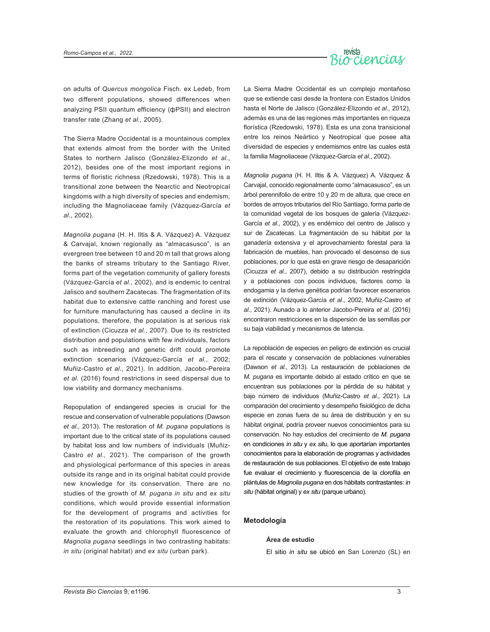

on adults of *Quercus mongolica* Fisch. ex Ledeb, from two different populations, showed differences when analyzing PSII quantum efficiency (фPSII) and electron transfer rate (Zhang *et al.,* 2005).

The Sierra Madre Occidental is a mountainous complex that extends almost from the border with the United States to northern Jalisco (González-Elizondo *et al.*, 2012), besides one of the most important regions in terms of floristic richness (Rzedowski, 1978). This is a transitional zone between the Nearctic and Neotropical kingdoms with a high diversity of species and endemism, including the Magnoliaceae family (Vázquez-García *et al*., 2002).

*Magnolia pugana* (H. H. Iltis & A. Vázquez) A. Vázquez & Carvajal, known regionally as "almacasusco", is an evergreen tree between 10 and 20 m tall that grows along the banks of streams tributary to the Santiago River, forms part of the vegetation community of gallery forests (Vázquez-García *et al*., 2002), and is endemic to central Jalisco and southern Zacatecas. The fragmentation of its habitat due to extensive cattle ranching and forest use for furniture manufacturing has caused a decline in its populations, therefore, the population is at serious risk of extinction (Cicuzza *et al.,* 2007). Due to its restricted distribution and populations with few individuals, factors such as inbreeding and genetic drift could promote extinction scenarios (Vázquez-García *et al.,* 2002; Muñiz-Castro *et al*., 2021). In addition, Jacobo-Pereira *et al.* (2016) found restrictions in seed dispersal due to low viability and dormancy mechanisms.

Repopulation of endangered species is crucial for the rescue and conservation of vulnerable populations (Dawson *et al.,* 2013). The restoration of *M. pugana* populations is important due to the critical state of its populations caused by habitat loss and low numbers of individuals (Muñiz-Castro *et al.,* 2021). The comparison of the growth and physiological performance of this species in areas outside its range and in its original habitat could provide new knowledge for its conservation. There are no studies of the growth of *M. pugana in situ* and *ex situ*  conditions, which would provide essential information for the development of programs and activities for the restoration of its populations. This work aimed to evaluate the growth and chlorophyll fluorescence of *Magnolia pugana* seedlings in two contrasting habitats: *in situ* (original habitat) and *ex situ* (urban park).

La Sierra Madre Occidental es un complejo montañoso que se extiende casi desde la frontera con Estados Unidos hasta el Norte de Jalisco (González-Elizondo *et al.,* 2012), además es una de las regiones más importantes en riqueza florística (Rzedowski, 1978). Esta es una zona transicional entre los reinos Neártico y Neotropical que posee alta diversidad de especies y endemismos entre las cuales está la familia Magnoliaceae (Vázquez-García *et al*., 2002).

*Magnolia pugana* (H. H. Iltis & A. Vázquez) A. Vázquez & Carvajal, conocido regionalmente como "almacasusco", es un árbol perennifolio de entre 10 y 20 m de altura, que crece en bordes de arroyos tributarios del Río Santiago, forma parte de la comunidad vegetal de los bosques de galería (Vázquez-García *et al*., 2002), y es endémico del centro de Jalisco y sur de Zacatecas. La fragmentación de su hábitat por la ganadería extensiva y el aprovechamiento forestal para la fabricación de muebles, han provocado el descenso de sus poblaciones, por lo que está en grave riesgo de desaparición (Cicuzza *et al.*, 2007), debido a su distribución restringida y a poblaciones con pocos individuos, factores como la endogamia y la deriva genética podrían favorecer escenarios de extinción (Vázquez-García *et al*., 2002, Muñiz-Castro *et al*., 2021). Aunado a lo anterior Jacobo-Pereira *et al.* (2016) encontraron restricciones en la dispersión de las semillas por su baja viabilidad y mecanismos de latencia.

La repoblación de especies en peligro de extinción es crucial para el rescate y conservación de poblaciones vulnerables (Dawson *et al.*, 2013). La restauración de poblaciones de *M. pugana* es importante debido al estado crítico en que se encuentran sus poblaciones por la pérdida de su hábitat y bajo número de individuos (Muñiz-Castro *et al*., 2021). La comparación del crecimiento y desempeño fisiológico de dicha especie en zonas fuera de su área de distribución y en su hábitat original, podría proveer nuevos conocimientos para su conservación. No hay estudios del crecimiento de *M. pugana* en condiciones *in situ* y *ex situ*, lo que aportarían importantes conocimientos para la elaboración de programas y actividades de restauración de sus poblaciones. El objetivo de este trabajo fue evaluar el crecimiento y fluorescencia de la clorofila en plántulas de *Magnolia pugana* en dos hábitats contrastantes: *in situ* (hábitat original) y *ex situ* (parque urbano).

#### **Metodología**

#### **Área de estudio**

El sitio *in situ* se ubicó en San Lorenzo (SL) en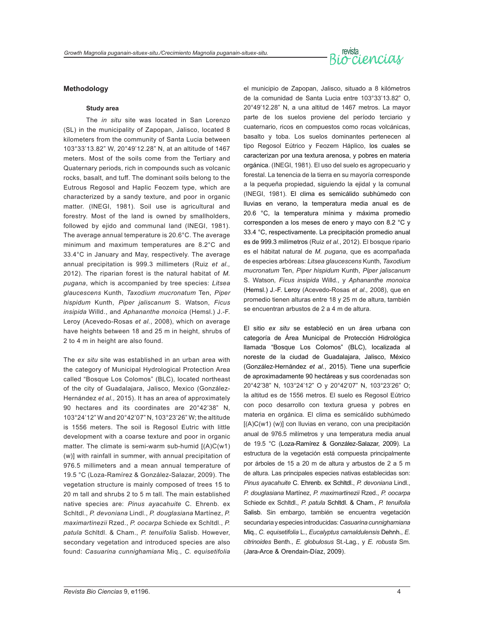# revista<br>Biocciencias

#### **Methodology**

#### **Study area**

The *in situ* site was located in San Lorenzo (SL) in the municipality of Zapopan, Jalisco, located 8 kilometers from the community of Santa Lucia between 103°33'13.82" W, 20°49'12.28" N, at an altitude of 1467 meters. Most of the soils come from the Tertiary and Quaternary periods, rich in compounds such as volcanic rocks, basalt, and tuff. The dominant soils belong to the Eutrous Regosol and Haplic Feozem type, which are characterized by a sandy texture, and poor in organic matter. (INEGI, 1981). Soil use is agricultural and forestry. Most of the land is owned by smallholders, followed by ejido and communal land (INEGI, 1981). The average annual temperature is 20.6°C. The average minimum and maximum temperatures are 8.2°C and 33.4°C in January and May, respectively. The average annual precipitation is 999.3 millimeters (Ruiz *et al.,* 2012). The riparian forest is the natural habitat of *M. pugana*, which is accompanied by tree species: *Litsea glaucescens* Kunth, *Taxodium mucronatum* Ten, *Piper hispidum* Kunth, *Piper jaliscanum* S. Watson, *Ficus insipida* Willd., and *Aphananthe monoica* (Hemsl.) J.-F. Leroy (Acevedo-Rosas *et al.*, 2008), which on average have heights between 18 and 25 m in height, shrubs of 2 to 4 m in height are also found.

The *ex situ* site was established in an urban area with the category of Municipal Hydrological Protection Area called "Bosque Los Colomos" (BLC), located northeast of the city of Guadalajara, Jalisco, Mexico (González-Hernández *et al.,* 2015). It has an area of approximately 90 hectares and its coordinates are 20°42'38" N, 103°24'12" W and 20°42'07" N, 103°23'26" W; the altitude is 1556 meters. The soil is Regosol Eutric with little development with a coarse texture and poor in organic matter. The climate is semi-warm sub-humid [(A)C(w1) (w)] with rainfall in summer, with annual precipitation of 976.5 millimeters and a mean annual temperature of 19.5 °C (Loza-Ramírez & González-Salazar, 2009). The vegetation structure is mainly composed of trees 15 to 20 m tall and shrubs 2 to 5 m tall. The main established native species are: *Pinus ayacahuite* C. Ehrenb. ex Schltdl., *P. devoniana* Lindl., *P. douglasiana* Martínez, *P. maximartinezii* Rzed., *P. oocarpa* Schiede ex Schltdl., *P. patula* Schltdl. & Cham., *P. tenuifolia* Salisb. However, secondary vegetation and introduced species are also found: *Casuarina cunnighamiana* Miq., *C. equisetifolia*

el municipio de Zapopan, Jalisco, situado a 8 kilómetros de la comunidad de Santa Lucia entre 103°33'13.82" O, 20°49'12.28" N, a una altitud de 1467 metros. La mayor parte de los suelos proviene del período terciario y cuaternario, ricos en compuestos como rocas volcánicas, basalto y toba. Los suelos dominantes pertenecen al tipo Regosol Eútrico y Feozem Háplico, los cuales se caracterizan por una textura arenosa, y pobres en materia orgánica. (INEGI, 1981). El uso del suelo es agropecuario y forestal. La tenencia de la tierra en su mayoría corresponde a la pequeña propiedad, siguiendo la ejidal y la comunal (INEGI, 1981). El clima es semicálido subhúmedo con lluvias en verano, la temperatura media anual es de 20.6 °C, la temperatura mínima y máxima promedio corresponden a los meses de enero y mayo con 8.2 °C y 33.4 °C, respectivamente. La precipitación promedio anual es de 999.3 milímetros (Ruiz *et al.*, 2012). El bosque ripario es el hábitat natural de *M. pugana*, que es acompañada de especies arbóreas: *Litsea glaucescens* Kunth, *Taxodium mucronatum* Ten, *Piper hispidum* Kunth, *Piper jaliscanum*  S. Watson*, Ficus insipida* Willd., y *Aphananthe monoica* (Hemsl.) J.-F. Leroy (Acevedo-Rosas *et al.,* 2008), que en promedio tienen alturas entre 18 y 25 m de altura, también se encuentran arbustos de 2 a 4 m de altura.

El sitio *ex situ* se estableció en un área urbana con categoría de Área Municipal de Protección Hidrológica llamada "Bosque Los Colomos" (BLC), localizada al noreste de la ciudad de Guadalajara, Jalisco, México (González-Hernández *et al.*, 2015). Tiene una superficie de aproximadamente 90 hectáreas y sus coordenadas son 20°42'38" N, 103°24'12" O y 20°42'07" N, 103°23'26" O; la altitud es de 1556 metros. El suelo es Regosol Eútrico con poco desarrollo con textura gruesa y pobres en materia en orgánica. El clima es semicálido subhúmedo [(A)C(w1) (w)] con lluvias en verano, con una precipitación anual de 976.5 milímetros y una temperatura media anual de 19.5 °C (Loza-Ramírez & González-Salazar, 2009). La estructura de la vegetación está compuesta principalmente por árboles de 15 a 20 m de altura y arbustos de 2 a 5 m de altura. Las principales especies nativas establecidas son: *Pinus ayacahuite* C. Ehrenb. ex Schltdl., *P. devoniana* Lindl., *P. douglasiana* Martínez, *P. maximartinezii* Rzed., *P. oocarpa*  Schiede ex Schltdl., *P. patula* Schltdl. & Cham., *P. tenuifolia*  Salisb. Sin embargo, también se encuentra vegetación secundaria y especies introducidas: *Casuarina cunnighamiana*  Miq., *C. equisetifolia* L., *Eucalyptus camaldulensis* Dehnh., *E. citrinoides* Benth., *E. globulosus* St.-Lag., y *E. robusta* Sm. (Jara-Arce & Orendain-Díaz, 2009).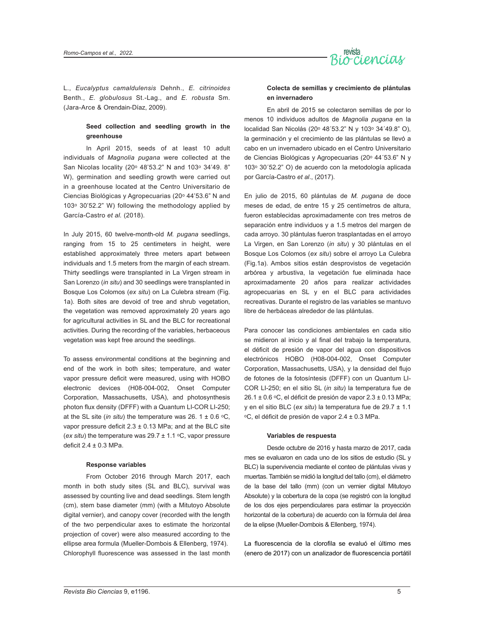

L., *Eucalyptus camaldulensis* Dehnh., *E. citrinoides* Benth., *E. globulosus* St.-Lag., and *E. robusta* Sm. (Jara-Arce & Orendain-Díaz, 2009).

#### **Seed collection and seedling growth in the greenhouse**

In April 2015, seeds of at least 10 adult individuals of *Magnolia pugana* were collected at the San Nicolas locality (20° 48'53.2" N and 103° 34'49. 8" W), germination and seedling growth were carried out in a greenhouse located at the Centro Universitario de Ciencias Biológicas y Agropecuarias (20° 44'53.6" N and 103ᵒ 30'52.2" W) following the methodology applied by García-Castro *et al.* (2018).

In July 2015, 60 twelve-month-old *M. pugana* seedlings, ranging from 15 to 25 centimeters in height, were established approximately three meters apart between individuals and 1.5 meters from the margin of each stream. Thirty seedlings were transplanted in La Virgen stream in San Lorenzo (*in situ*) and 30 seedlings were transplanted in Bosque Los Colomos (*ex situ*) on La Culebra stream (Fig. 1a). Both sites are devoid of tree and shrub vegetation, the vegetation was removed approximately 20 years ago for agricultural activities in SL and the BLC for recreational activities. During the recording of the variables, herbaceous vegetation was kept free around the seedlings.

To assess environmental conditions at the beginning and end of the work in both sites; temperature, and water vapor pressure deficit were measured, using with HOBO electronic devices (H08-004-002, Onset Computer Corporation, Massachusetts, USA), and photosynthesis photon flux density (DFFF) with a Quantum LI-COR LI-250; at the SL site (*in situ*) the temperature was 26.  $1 \pm 0.6$  °C, vapor pressure deficit  $2.3 \pm 0.13$  MPa; and at the BLC site (*ex situ*) the temperature was 29.7 ± 1.1 °C, vapor pressure deficit 2.4 ± 0.3 MPa.

#### **Response variables**

From October 2016 through March 2017, each month in both study sites (SL and BLC), survival was assessed by counting live and dead seedlings. Stem length (cm), stem base diameter (mm) (with a Mitutoyo Absolute digital vernier), and canopy cover (recorded with the length of the two perpendicular axes to estimate the horizontal projection of cover) were also measured according to the ellipse area formula (Mueller-Dombois & Ellenberg, 1974). Chlorophyll fluorescence was assessed in the last month

#### **Colecta de semillas y crecimiento de plántulas en invernadero**

En abril de 2015 se colectaron semillas de por lo menos 10 individuos adultos de *Magnolia pugana* en la localidad San Nicolás (20ᵒ 48´53.2" N y 103ᵒ 34´49.8" O), la germinación y el crecimiento de las plántulas se llevó a cabo en un invernadero ubicado en el Centro Universitario de Ciencias Biológicas y Agropecuarias (20ᵒ 44´53.6" N y 103ᵒ 30´52.2" O) de acuerdo con la metodología aplicada por García-Castro *et al*., (2017).

En julio de 2015, 60 plántulas de *M. pugana* de doce meses de edad, de entre 15 y 25 centímetros de altura, fueron establecidas aproximadamente con tres metros de separación entre individuos y a 1.5 metros del margen de cada arroyo. 30 plántulas fueron trasplantadas en el arroyo La Virgen, en San Lorenzo (*in situ*) y 30 plántulas en el Bosque Los Colomos (*ex situ*) sobre el arroyo La Culebra (Fig.1a). Ambos sitios están desprovistos de vegetación arbórea y arbustiva, la vegetación fue eliminada hace aproximadamente 20 años para realizar actividades agropecuarias en SL y en el BLC para actividades recreativas. Durante el registro de las variables se mantuvo libre de herbáceas alrededor de las plántulas.

Para conocer las condiciones ambientales en cada sitio se midieron al inicio y al final del trabajo la temperatura, el déficit de presión de vapor del agua con dispositivos electrónicos HOBO (H08-004-002, Onset Computer Corporation, Massachusetts, USA), y la densidad del flujo de fotones de la fotosíntesis (DFFF) con un Quantum LI-COR LI-250; en el sitio SL (*in situ*) la temperatura fue de  $26.1 \pm 0.6$  °C, el déficit de presión de vapor  $2.3 \pm 0.13$  MPa; y en el sitio BLC (*ex situ*) la temperatura fue de 29.7 ± 1.1 ᵒC, el déficit de presión de vapor 2.4 ± 0.3 MPa.

#### **Variables de respuesta**

Desde octubre de 2016 y hasta marzo de 2017, cada mes se evaluaron en cada uno de los sitios de estudio (SL y BLC) la supervivencia mediante el conteo de plántulas vivas y muertas. También se midió la longitud del tallo (cm), el diámetro de la base del tallo (mm) (con un vernier digital Mitutoyo Absolute) y la cobertura de la copa (se registró con la longitud de los dos ejes perpendiculares para estimar la proyección horizontal de la cobertura) de acuerdo con la fórmula del área de la elipse (Mueller-Dombois & Ellenberg, 1974).

La fluorescencia de la clorofila se evaluó el último mes (enero de 2017) con un analizador de fluorescencia portátil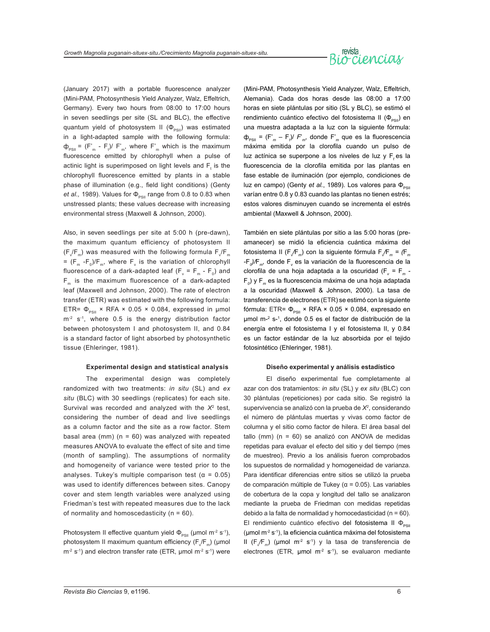# revista<br>Biorciencial

(January 2017) with a portable fluorescence analyzer (Mini-PAM, Photosynthesis Yield Analyzer, Walz, Effeltrich, Germany). Every two hours from 08:00 to 17:00 hours in seven seedlings per site (SL and BLC), the effective quantum yield of photosystem II ( $\Phi_{\text{p}}$ ) was estimated in a light-adapted sample with the following formula:  $\Phi_{\text{PSII}}$  =  $(F_m^* - F_t)/F_m^*$ , where  $F_m^*$  which is the maximum fluorescence emitted by chlorophyll when a pulse of actinic light is superimposed on light levels and  $\mathsf{F}_\mathsf{t}$  is the chlorophyll fluorescence emitted by plants in a stable phase of illumination (e.g., field light conditions) (Genty *et al.,* 1989). Values for  $\Phi_{PSII}$  range from 0.8 to 0.83 when unstressed plants; these values decrease with increasing environmental stress (Maxwell & Johnson, 2000).

Also, in seven seedlings per site at 5:00 h (pre-dawn), the maximum quantum efficiency of photosystem II (F $_{\rm v}/$ F $_{\rm m}$ ) was measured with the following formula F $_{\rm v}/$ F $_{\rm m}$ = (F<sub>m</sub> -F<sub>0</sub>)/F<sub>m</sub>, where F<sub>v</sub> is the variation of chlorophyll fluorescence of a dark-adapted leaf (F $_{\rm v}$  = F $_{\rm m}$  - F $_{\rm 0})$  and  $F_m$  is the maximum fluorescence of a dark-adapted leaf (Maxwell and Johnson, 2000). The rate of electron transfer (ETR) was estimated with the following formula: ETR=  $\Phi_{PSII}$  × RFA × 0.05 × 0.084, expressed in µmol  $m<sup>-2</sup>$  s<sup>-1</sup>, where 0.5 is the energy distribution factor between photosystem I and photosystem II, and 0.84 is a standard factor of light absorbed by photosynthetic tissue (Ehleringer, 1981).

#### **Experimental design and statistical analysis**

The experimental design was completely randomized with two treatments: *in situ* (SL) and *ex situ* (BLC) with 30 seedlings (replicates) for each site. Survival was recorded and analyzed with the *X*2 test, considering the number of dead and live seedlings as a column factor and the site as a row factor. Stem basal area (mm) ( $n = 60$ ) was analyzed with repeated measures ANOVA to evaluate the effect of site and time (month of sampling). The assumptions of normality and homogeneity of variance were tested prior to the analyses. Tukey's multiple comparison test ( $\alpha$  = 0.05) was used to identify differences between sites. Canopy cover and stem length variables were analyzed using Friedman's test with repeated measures due to the lack of normality and homoscedasticity ( $n = 60$ ).

Photosystem II effective quantum yield  $\Phi_{\text{pen}}$  (µmol m<sup>-2</sup> s<sup>-1</sup>), photosystem II maximum quantum efficiency (F $\rm _v$ F $_{\rm m}$ ) (µmol  $m<sup>-2</sup> s<sup>-1</sup>$ ) and electron transfer rate (ETR, µmol  $m<sup>-2</sup> s<sup>-1</sup>$ ) were

(Mini-PAM, Photosynthesis Yield Analyzer, Walz, Effeltrich, Alemania). Cada dos horas desde las 08:00 a 17:00 horas en siete plántulas por sitio (SL y BLC), se estimó el rendimiento cuántico efectivo del fotosistema II ( $\Phi_{\text{rel}}$ ) en una muestra adaptada a la luz con la siguiente fórmula:  $φ_{PSII}$  = (F'<sub>*m*</sub> - F<sub>t</sub>)/ F'<sub>*m*</sub>, donde F'<sub>*m*</sub> que es la fluorescencia máxima emitida por la clorofila cuando un pulso de luz actínica se superpone a los niveles de luz y F, es la fluorescencia de la clorofila emitida por las plantas en fase estable de iluminación (por ejemplo, condiciones de luz en campo) (Genty *et al.*, 1989). Los valores para Φ<sub>psu</sub> varían entre 0.8 y 0.83 cuando las plantas no tienen estrés; estos valores disminuyen cuando se incrementa el estrés ambiental (Maxwell & Johnson, 2000).

También en siete plántulas por sitio a las 5:00 horas (preamanecer) se midió la eficiencia cuántica máxima del fotosistema II (F*<sup>v</sup> /*F*m*) con la siguiente fórmula F*<sup>v</sup> /*F*m = (*F*<sup>m</sup> -*F*<sup>0</sup> )/*F*m,* donde F*<sup>v</sup>* es la variación de la fluorescencia de la clorofila de una hoja adaptada a la oscuridad (F*<sup>v</sup> =* F*m -* F*0* ) y F*m* es la fluorescencia máxima de una hoja adaptada a la oscuridad (Maxwell & Johnson, 2000). La tasa de transferencia de electrones (ETR) se estimó con la siguiente fórmula: ETR=  $\Phi_{PSI}$  × RFA × 0.05 × 0.084, expresado en μmol m-<sup>2</sup> s-1 , donde 0.5 es el factor de distribución de la energía entre el fotosistema I y el fotosistema II, y 0.84 es un factor estándar de la luz absorbida por el tejido fotosintético (Ehleringer, 1981).

#### **Diseño experimental y análisis estadístico**

El diseño experimental fue completamente al azar con dos tratamientos: *in situ* (SL) y *ex situ* (BLC) con 30 plántulas (repeticiones) por cada sitio. Se registró la supervivencia se analizó con la prueba de *X2* , considerando el número de plántulas muertas y vivas como factor de columna y el sitio como factor de hilera. El área basal del tallo (mm) (n = 60) se analizó con ANOVA de medidas repetidas para evaluar el efecto del sitio y del tiempo (mes de muestreo). Previo a los análisis fueron comprobados los supuestos de normalidad y homogeneidad de varianza. Para identificar diferencias entre sitios se utilizó la prueba de comparación múltiple de Tukey (α = 0.05). Las variables de cobertura de la copa y longitud del tallo se analizaron mediante la prueba de Friedman con medidas repetidas debido a la falta de normalidad y homocedasticidad ( $n = 60$ ). El rendimiento cuántico efectivo del fotosistema II  $\Phi_{PSII}$ ( $\mu$ mol m<sup>-2</sup> s<sup>-1</sup>), la eficiencia cuántica máxima del fotosistema II (F*<sup>v</sup> /*F*m*) (µmol m-2 s-1) y la tasa de transferencia de electrones (ETR,  $\mu$ mol m<sup>-2</sup> s<sup>-1</sup>), se evaluaron mediante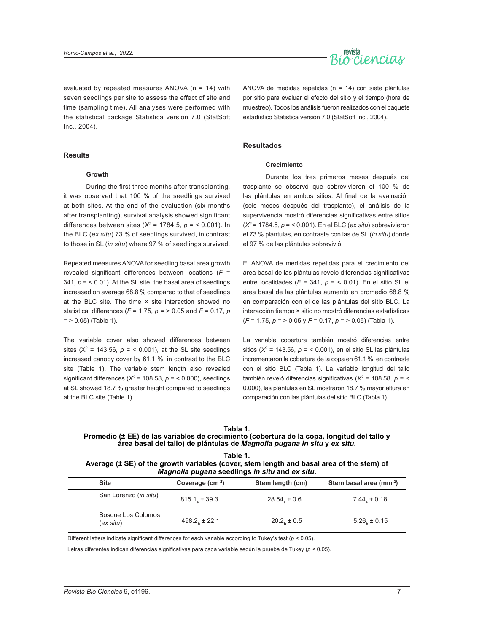**Growth**

**Results**



evaluated by repeated measures ANOVA (n = 14) with seven seedlings per site to assess the effect of site and time (sampling time). All analyses were performed with the statistical package Statistica version 7.0 (StatSoft Inc., 2004).

ANOVA de medidas repetidas (n = 14) con siete plántulas por sitio para evaluar el efecto del sitio y el tiempo (hora de muestreo). Todos los análisis fueron realizados con el paquete estadístico Statistica versión 7.0 (StatSoft Inc., 2004).

#### **Resultados**

#### **Crecimiento**

During the first three months after transplanting, it was observed that 100 % of the seedlings survived at both sites. At the end of the evaluation (six months after transplanting), survival analysis showed significant differences between sites (*X2* = 1784.5, *p* = ˂ 0.001). In the BLC (*ex situ*) 73 % of seedlings survived, in contrast to those in SL (*in situ*) where 97 % of seedlings survived.

Repeated measures ANOVA for seedling basal area growth revealed significant differences between locations (*F* = 341*, p* = ˂ 0.01). At the SL site, the basal area of seedlings increased on average 68.8 % compared to that of seedlings at the BLC site. The time × site interaction showed no statistical differences (*F* = 1.75, *p* = ˃ 0.05 and *F* = 0.17, *p*   $=$  > 0.05) (Table 1).

The variable cover also showed differences between sites ( $X^2$  = 143.56,  $p =$  < 0.001), at the SL site seedlings increased canopy cover by 61.1 %, in contrast to the BLC site (Table 1). The variable stem length also revealed significant differences ( $X^2$  = 108.58,  $p$  = < 0.000), seedlings at SL showed 18.7 % greater height compared to seedlings at the BLC site (Table 1).

Durante los tres primeros meses después del trasplante se observó que sobrevivieron el 100 % de las plántulas en ambos sitios. Al final de la evaluación (seis meses después del trasplante), el análisis de la supervivencia mostró diferencias significativas entre sitios (*X2* = 1784.5, *p* = ˂ 0.001). En el BLC (*ex situ*) sobrevivieron el 73 % plántulas, en contraste con las de SL (*in situ*) donde el 97 % de las plántulas sobrevivió.

El ANOVA de medidas repetidas para el crecimiento del área basal de las plántulas reveló diferencias significativas entre localidades ( $F = 341$ ,  $p = 6.01$ ). En el sitio SL el área basal de las plántulas aumentó en promedio 68.8 % en comparación con el de las plántulas del sitio BLC. La interacción tiempo × sitio no mostró diferencias estadísticas (*F* = 1.75, *p* = ˃ 0.05 y *F* = 0.17, *p* = ˃ 0.05) (Tabla 1).

La variable cobertura también mostró diferencias entre sitios (*X2* = 143.56, *p* = ˂ 0.001), en el sitio SL las plántulas incrementaron la cobertura de la copa en 61.1 %, en contraste con el sitio BLC (Tabla 1). La variable longitud del tallo también reveló diferencias significativas (*X2* = 108.58, *p* = ˂ 0.000), las plántulas en SL mostraron 18.7 % mayor altura en comparación con las plántulas del sitio BLC (Tabla 1).

| Tabla 1.                                                                                    |
|---------------------------------------------------------------------------------------------|
| Promedio (± EE) de las variables de crecimiento (cobertura de la copa, longitud del tallo y |
| área basal del tallo) de plántulas de Magnolia pugana in situ y ex situ.                    |
|                                                                                             |

| Table 1.                                                                                  |
|-------------------------------------------------------------------------------------------|
| Average (± SE) of the growth variables (cover, stem length and basal area of the stem) of |
| Magnolia pugana seedlings in situ and ex situ.                                            |

| <b>Site</b>                     | Coverage $(cm-2)$ | Stem length (cm) | Stem basal area (mm-2) |
|---------------------------------|-------------------|------------------|------------------------|
| San Lorenzo (in situ)           | $815.1$ , ± 39.3  | $28.54 \pm 0.6$  | $7.44 \pm 0.18$        |
| Bosque Los Colomos<br>(ex situ) | $498.2 + 22.1$    | $20.2n \pm 0.5$  | $5.26$ , ± 0.15        |

Different letters indicate significant differences for each variable according to Tukey's test (*p* ˂ 0.05).

Letras diferentes indican diferencias significativas para cada variable según la prueba de Tukey (*p* ˂ 0.05).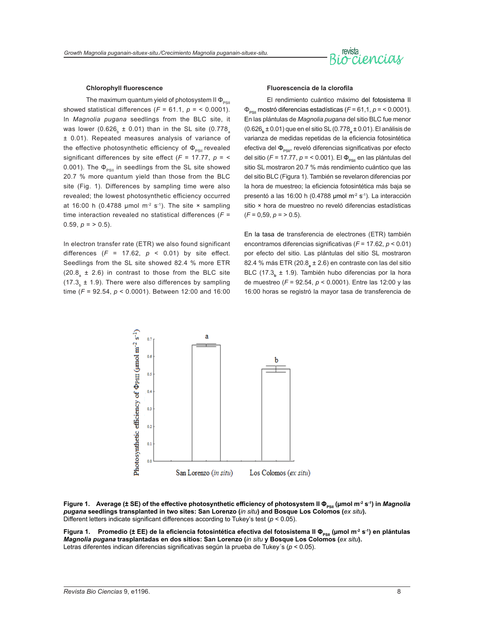# revista<br>Bio<sup>ci</sup> pncias

#### **Chlorophyll fluorescence**

The maximum quantum yield of photosystem II  $\Phi_{\text{p}q}$ showed statistical differences  $(F = 61.1, p = 6.0001)$ . In *Magnolia pugana* seedlings from the BLC site, it was lower (0.626,  $\pm$  0.01) than in the SL site (0.778 ± 0.01). Repeated measures analysis of variance of the effective photosynthetic efficiency of  $\Phi_{PSII}$  revealed significant differences by site effect (*F* = 17.77, *p* = ˂ 0.001). The  $\Phi_{\text{post}}$  in seedlings from the SL site showed 20.7 % more quantum yield than those from the BLC site (Fig. 1). Differences by sampling time were also revealed; the lowest photosynthetic efficiency occurred at 16:00 h (0.4788 µmol m<sup>-2</sup> s<sup>-1</sup>). The site  $\times$  sampling time interaction revealed no statistical differences (*F* = 0.59,  $p = > 0.5$ ).

In electron transfer rate (ETR) we also found significant differences  $(F = 17.62, p < 0.01)$  by site effect. Seedlings from the SL site showed 82.4 % more ETR  $(20.8<sub>a</sub> \pm 2.6)$  in contrast to those from the BLC site  $(17.3<sub>b</sub> \pm 1.9)$ . There were also differences by sampling time (*F* = 92.54, *p* ˂ 0.0001). Between 12:00 and 16:00

#### **Fluorescencia de la clorofila**

El rendimiento cuántico máximo del fotosistema II ΦPSII mostró diferencias estadísticas (*F* = 61,1, *p* = ˂ 0.0001). En las plántulas de *Magnolia pugana* del sitio BLC fue menor (0.626**b** ± 0.01) que en el sitio SL (0.778**<sup>a</sup>** ± 0.01). El análisis de varianza de medidas repetidas de la eficiencia fotosintética efectiva del  $\Phi_{PSII}$ , reveló diferencias significativas por efecto del sitio (*F* = 17.77, *p* = < 0.001). El Φ<sub>psii</sub> en las plántulas del sitio SL mostraron 20.7 % más rendimiento cuántico que las del sitio BLC (Figura 1). También se revelaron diferencias por la hora de muestreo; la eficiencia fotosintética más baja se presentó a las 16:00 h (0.4788 umol m<sup>-2</sup> s<sup>-1</sup>). La interacción sitio × hora de muestreo no reveló diferencias estadísticas  $(F = 0.59, p = 0.5)$ .

En la tasa de transferencia de electrones (ETR) también encontramos diferencias significativas (*F* = 17.62, *p* ˂ 0.01) por efecto del sitio. Las plántulas del sitio SL mostraron 82.4 % más ETR (20.8**<sup>a</sup>** ± 2.6) en contraste con las del sitio BLC (17.3<sub>b</sub> ± 1.9). También hubo diferencias por la hora de muestreo (*F* = 92.54, *p* ˂ 0.0001). Entre las 12:00 y las 16:00 horas se registró la mayor tasa de transferencia de



**Figure 1.** Average (± SE) of the effective photosynthetic efficiency of photosystem II Φ<sub>PSII</sub> (µmol m<sup>-2</sup> s<sup>-1</sup>) in *Magnolia pugana* **seedlings transplanted in two sites: San Lorenzo (***in situ***) and Bosque Los Colomos (***ex situ***).**  Different letters indicate significant differences according to Tukey's test (*p* ˂ 0.05).

Figura 1. Promedio (± EE) de la eficiencia fotosintética efectiva del fotosistema II Φ<sub>PSII</sub> (µmol m<sup>-2</sup> s<sup>-1</sup>) en plántulas *Magnolia pugana* **trasplantadas en dos sitios: San Lorenzo (***in situ* **y Bosque Los Colomos (***ex situ***).**  Letras diferentes indican diferencias significativas según la prueba de Tukey´s (*p* ˂ 0.05).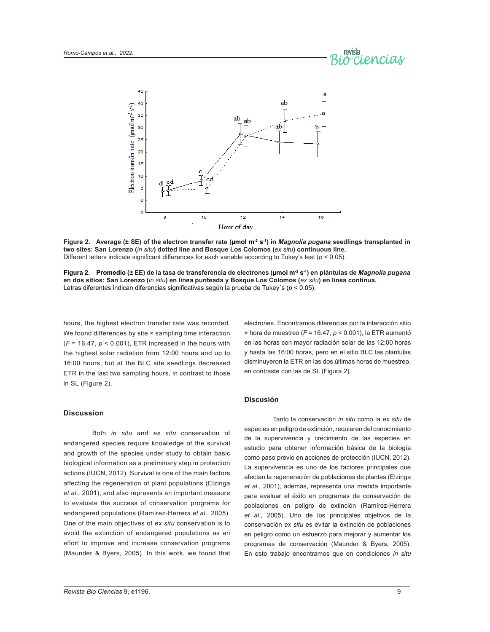



**Figure 2.** Average (± SE) of the electron transfer rate (µmol m<sup>2</sup> s<sup>-1</sup>) in *Magnolia pugana* seedlings transplanted in **two sites: San Lorenzo (***in situ***) dotted line and Bosque Los Colomos (***ex situ***) continuous line.**  Different letters indicate significant differences for each variable according to Tukey's test (*p* ˂ 0.05).

Figura 2. Promedio (± EE) de la tasa de transferencia de electrones (umol m<sup>-2</sup> s<sup>-1</sup>) en plántulas de *Magnolia pugana* **en dos sitios: San Lorenzo (***in situ***) en línea punteada y Bosque Los Colomos (***ex situ***) en línea continua.**  Letras diferentes indican diferencias significativas según la prueba de Tukey's ( $p < 0.05$ ).

hours, the highest electron transfer rate was recorded. We found differences by site  $\times$  sampling time interaction (*F* = 16.47, *p* ˂ 0.001), ETR increased in the hours with the highest solar radiation from 12:00 hours and up to 16:00 hours, but at the BLC site seedlings decreased ETR in the last two sampling hours, in contrast to those in SL (Figure 2).

#### **Discussion**

Both *in situ* and *ex situ* conservation of endangered species require knowledge of the survival and growth of the species under study to obtain basic biological information as a preliminary step in protection actions (IUCN, 2012). Survival is one of the main factors affecting the regeneration of plant populations (Elzinga *et al.,* 2001), and also represents an important measure to evaluate the success of conservation programs for endangered populations (Ramírez-Herrera *et al.,* 2005). One of the main objectives of *ex situ* conservation is to avoid the extinction of endangered populations as an effort to improve and increase conservation programs (Maunder & Byers*,* 2005). In this work, we found that

electrones. Encontramos diferencias por la interacción sitio × hora de muestreo (*F* = 16.47, *p* ˂ 0.001), la ETR aumentó en las horas con mayor radiación solar de las 12:00 horas y hasta las 16:00 horas, pero en el sitio BLC las plántulas disminuyeron la ETR en las dos últimas horas de muestreo, en contraste con las de SL (Figura 2).

#### **Discusión**

Tanto la conservación *in situ* como la *ex situ* de especies en peligro de extinción, requieren del conocimiento de la supervivencia y crecimiento de las especies en estudio para obtener información básica de la biología como paso previo en acciones de protección (IUCN, 2012). La supervivencia es uno de los factores principales que afectan la regeneración de poblaciones de plantas (Elzinga *et al*., 2001), además, representa una medida importante para evaluar el éxito en programas de conservación de poblaciones en peligro de extinción (Ramírez-Herrera *et al*., 2005). Uno de los principales objetivos de la conservación *ex situ* es evitar la extinción de poblaciones en peligro como un esfuerzo para mejorar y aumentar los programas de conservación (Maunder & Byers, 2005). En este trabajo encontramos que en condiciones *in situ*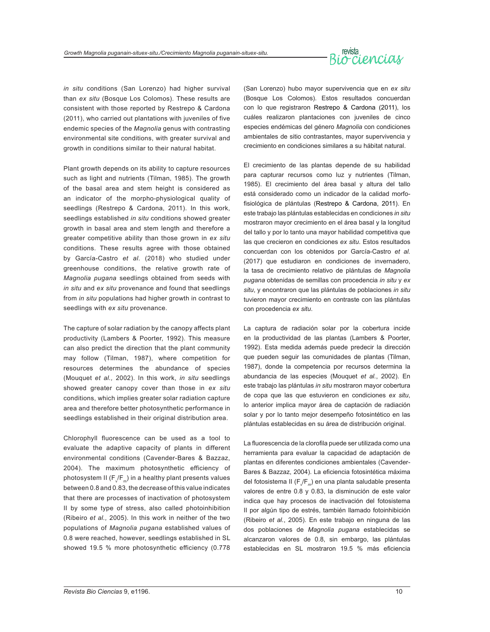

*in situ* conditions (San Lorenzo) had higher survival than *ex situ* (Bosque Los Colomos). These results are consistent with those reported by Restrepo & Cardona (2011), who carried out plantations with juveniles of five endemic species of the *Magnolia* genus with contrasting environmental site conditions, with greater survival and growth in conditions similar to their natural habitat.

Plant growth depends on its ability to capture resources such as light and nutrients (Tilman, 1985). The growth of the basal area and stem height is considered as an indicator of the morpho-physiological quality of seedlings (Restrepo & Cardona, 2011). In this work, seedlings established *in situ* conditions showed greater growth in basal area and stem length and therefore a greater competitive ability than those grown in *ex situ*  conditions. These results agree with those obtained by García-Castro *et al*. (2018) who studied under greenhouse conditions, the relative growth rate of *Magnolia pugana* seedlings obtained from seeds with *in situ* and *ex situ* provenance and found that seedlings from *in situ* populations had higher growth in contrast to seedlings with *ex situ* provenance.

The capture of solar radiation by the canopy affects plant productivity (Lambers & Poorter, 1992). This measure can also predict the direction that the plant community may follow (Tilman, 1987), where competition for resources determines the abundance of species (Mouquet *et al.,* 2002). In this work, *in situ* seedlings showed greater canopy cover than those in *ex situ*  conditions, which implies greater solar radiation capture area and therefore better photosynthetic performance in seedlings established in their original distribution area.

Chlorophyll fluorescence can be used as a tool to evaluate the adaptive capacity of plants in different environmental conditions (Cavender-Bares & Bazzaz, 2004). The maximum photosynthetic efficiency of photosystem II (F $_{\rm v}/$ F $_{\rm m}$ ) in a healthy plant presents values between 0.8 and 0.83, the decrease of this value indicates that there are processes of inactivation of photosystem II by some type of stress, also called photoinhibition (Ribeiro *et al.,* 2005). In this work in neither of the two populations of *Magnolia pugana* established values of 0.8 were reached, however, seedlings established in SL showed 19.5 % more photosynthetic efficiency (0.778

(San Lorenzo) hubo mayor supervivencia que en *ex situ*  (Bosque Los Colomos). Estos resultados concuerdan con lo que registraron Restrepo & Cardona (2011), los cuáles realizaron plantaciones con juveniles de cinco especies endémicas del género *Magnolia* con condiciones ambientales de sitio contrastantes, mayor supervivencia y crecimiento en condiciones similares a su hábitat natural.

El crecimiento de las plantas depende de su habilidad para capturar recursos como luz y nutrientes (Tilman, 1985). El crecimiento del área basal y altura del tallo está considerado como un indicador de la calidad morfofisiológica de plántulas (Restrepo & Cardona, 2011). En este trabajo las plántulas establecidas en condiciones *in situ* mostraron mayor crecimiento en el área basal y la longitud del tallo y por lo tanto una mayor habilidad competitiva que las que crecieron en condiciones *ex situ*. Estos resultados concuerdan con los obtenidos por García-Castro *et al.*  (2017) que estudiaron en condiciones de invernadero, la tasa de crecimiento relativo de plántulas de *Magnolia pugana* obtenidas de semillas con procedencia *in situ* y *ex situ*, y encontraron que las plántulas de poblaciones *in situ* tuvieron mayor crecimiento en contraste con las plántulas con procedencia *ex situ*.

La captura de radiación solar por la cobertura incide en la productividad de las plantas (Lambers & Poorter, 1992). Esta medida además puede predecir la dirección que pueden seguir las comunidades de plantas (Tilman, 1987), donde la competencia por recursos determina la abundancia de las especies (Mouquet *et al.*, 2002). En este trabajo las plántulas *in situ* mostraron mayor cobertura de copa que las que estuvieron en condiciones *ex situ*, lo anterior implica mayor área de captación de radiación solar y por lo tanto mejor desempeño fotosintético en las plántulas establecidas en su área de distribución original.

La fluorescencia de la clorofila puede ser utilizada como una herramienta para evaluar la capacidad de adaptación de plantas en diferentes condiciones ambientales (Cavender-Bares & Bazzaz, 2004). La eficiencia fotosintética máxima del fotosistema II (F*<sup>v</sup>* /F*m*) en una planta saludable presenta valores de entre 0.8 y 0.83, la disminución de este valor indica que hay procesos de inactivación del fotosistema II por algún tipo de estrés, también llamado fotoinhibición (Ribeiro *et al.*, 2005). En este trabajo en ninguna de las dos poblaciones de *Magnolia pugana* establecidas se alcanzaron valores de 0.8, sin embargo, las plántulas establecidas en SL mostraron 19.5 % más eficiencia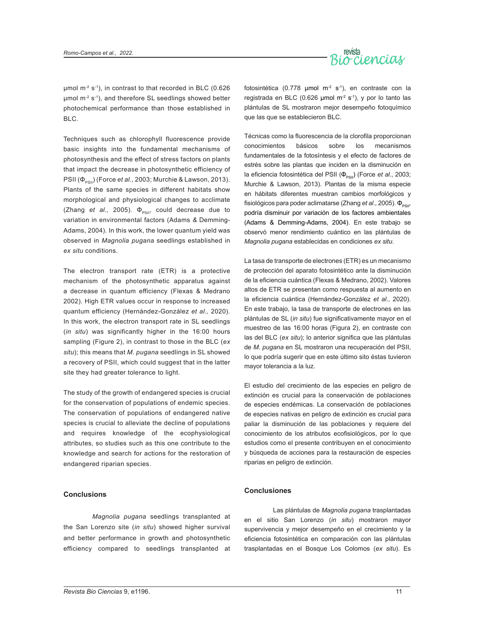

 $\mu$ mol m<sup>-2</sup> s<sup>-1</sup>), in contrast to that recorded in BLC (0.626)  $\mu$ mol m<sup>-2</sup> s<sup>-1</sup>), and therefore SL seedlings showed better photochemical performance than those established in BLC.

Techniques such as chlorophyll fluorescence provide basic insights into the fundamental mechanisms of photosynthesis and the effect of stress factors on plants that impact the decrease in photosynthetic efficiency of PSII (Φ<sub>psu</sub>) (Force *et al.*, 2003; Murchie & Lawson, 2013). Plants of the same species in different habitats show morphological and physiological changes to acclimate (Zhang et al., 2005).  $\Phi_{\text{psgn}}$  could decrease due to variation in environmental factors (Adams *&* Demming-Adams, 2004). In this work, the lower quantum yield was observed in *Magnolia pugana* seedlings established in *ex situ* conditions.

The electron transport rate (ETR) is a protective mechanism of the photosynthetic apparatus against a decrease in quantum efficiency (Flexas & Medrano 2002). High ETR values occur in response to increased quantum efficiency (Hernández-González *et al.,* 2020). In this work, the electron transport rate in SL seedlings (*in situ*) was significantly higher in the 16:00 hours sampling (Figure 2), in contrast to those in the BLC (*ex situ*); this means that *M. pugana* seedlings in SL showed a recovery of PSII, which could suggest that in the latter site they had greater tolerance to light.

The study of the growth of endangered species is crucial for the conservation of populations of endemic species. The conservation of populations of endangered native species is crucial to alleviate the decline of populations and requires knowledge of the ecophysiological attributes, so studies such as this one contribute to the knowledge and search for actions for the restoration of endangered riparian species.

#### **Conclusions**

*Magnolia pugana* seedlings transplanted at the San Lorenzo site (*in situ*) showed higher survival and better performance in growth and photosynthetic efficiency compared to seedlings transplanted at

fotosintética (0.778 µmol m<sup>-2</sup> s<sup>-1</sup>), en contraste con la registrada en BLC (0.626 µmol m<sup>-2</sup> s<sup>-1</sup>), y por lo tanto las plántulas de SL mostraron mejor desempeño fotoquímico que las que se establecieron BLC.

Técnicas como la fluorescencia de la clorofila proporcionan conocimientos básicos sobre los mecanismos fundamentales de la fotosíntesis y el efecto de factores de estrés sobre las plantas que inciden en la disminución en la eficiencia fotosintética del PSII (Φ<sub>PSII</sub>) (Force *et al.*, 2003; Murchie & Lawson, 2013). Plantas de la misma especie en hábitats diferentes muestran cambios morfológicos y fisiológicos para poder aclimatarse (Zhang *et al.*, 2005). Φ<sub>psu</sub>, podría disminuir por variación de los factores ambientales (Adams & Demming-Adams, 2004). En este trabajo se observó menor rendimiento cuántico en las plántulas de *Magnolia pugana* establecidas en condiciones *ex situ*.

La tasa de transporte de electrones (ETR) es un mecanismo de protección del aparato fotosintético ante la disminución de la eficiencia cuántica (Flexas & Medrano, 2002). Valores altos de ETR se presentan como respuesta al aumento en la eficiencia cuántica (Hernández-González *et al*., 2020). En este trabajo, la tasa de transporte de electrones en las plántulas de SL (*in situ*) fue significativamente mayor en el muestreo de las 16:00 horas (Figura 2), en contraste con las del BLC (*ex situ*); lo anterior significa que las plántulas de *M. pugana* en SL mostraron una recuperación del PSII, lo que podría sugerir que en este último sito éstas tuvieron mayor tolerancia a la luz.

El estudio del crecimiento de las especies en peligro de extinción es crucial para la conservación de poblaciones de especies endémicas. La conservación de poblaciones de especies nativas en peligro de extinción es crucial para paliar la disminución de las poblaciones y requiere del conocimiento de los atributos ecofisiológicos, por lo que estudios como el presente contribuyen en el conocimiento y búsqueda de acciones para la restauración de especies riparias en peligro de extinción.

#### **Conclusiones**

Las plántulas de *Magnolia pugana* trasplantadas en el sitio San Lorenzo (*in situ*) mostraron mayor supervivencia y mejor desempeño en el crecimiento y la eficiencia fotosintética en comparación con las plántulas trasplantadas en el Bosque Los Colomos (*ex situ*). Es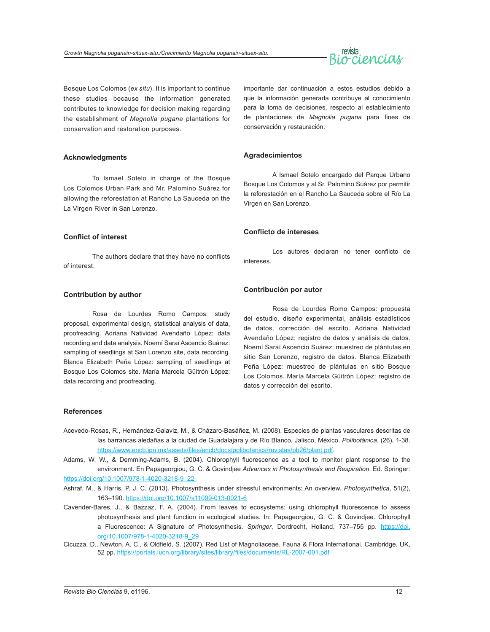# revista  $\sim$ ciencial

Bosque Los Colomos (*ex situ*). It is important to continue these studies because the information generated contributes to knowledge for decision making regarding the establishment of *Magnolia pugana* plantations for conservation and restoration purposes.

#### **Acknowledgments**

To Ismael Sotelo in charge of the Bosque Los Colomos Urban Park and Mr. Palomino Suárez for allowing the reforestation at Rancho La Sauceda on the La Virgen River in San Lorenzo.

#### **Conflict of interest**

The authors declare that they have no conflicts of interest.

#### **Contribution by author**

Rosa de Lourdes Romo Campos: study proposal, experimental design, statistical analysis of data, proofreading. Adriana Natividad Avendaño López: data recording and data analysis. Noemí Saraí Ascencio Suárez: sampling of seedlings at San Lorenzo site, data recording. Blanca Elizabeth Peña López: sampling of seedlings at Bosque Los Colomos site. María Marcela Güitrón López: data recording and proofreading.

importante dar continuación a estos estudios debido a que la información generada contribuye al conocimiento para la toma de decisiones, respecto al establecimiento de plantaciones de *Magnolia pugana* para fines de conservación y restauración.

#### **Agradecimientos**

A Ismael Sotelo encargado del Parque Urbano Bosque Los Colomos y al Sr. Palomino Suárez por permitir la reforestación en el Rancho La Sauceda sobre el Río La Virgen en San Lorenzo.

#### **Conflicto de intereses**

Los autores declaran no tener conflicto de intereses.

#### **Contribución por autor**

Rosa de Lourdes Romo Campos: propuesta del estudio, diseño experimental, análisis estadísticos de datos, corrección del escrito. Adriana Natividad Avendaño López: registro de datos y análisis de datos. Noemí Saraí Ascencio Suárez: muestreo de plántulas en sitio San Lorenzo, registro de datos. Blanca Elizabeth Peña López: muestreo de plántulas en sitio Bosque Los Colomos. María Marcela Güitrón López: registro de datos y corrección del escrito.

#### **References**

- Acevedo-Rosas, R., Hernández-Galaviz, M., & Cházaro-Basáñez, M. (2008). Especies de plantas vasculares descritas de las barrancas aledañas a la ciudad de Guadalajara y de Río Blanco, Jalisco, México. *Polibotánica*, (26), 1-38. <https://www.encb.ipn.mx/assets/files/encb/docs/polibotanica/revistas/pb26/plant.pdf>.
- Adams, W. W., & Demming-Adams, B. (2004). Chlorophyll fluorescence as a tool to monitor plant response to the environment. En Papageorgiou, G. C. & Govindjee *Advances in Photosynthesis and Respiration*. Ed. Springer: [https://doi.org/10.1007/978-1-4020-3218-9\\_22](https://doi.org/10.1007/978-1-4020-3218-9_22)
- Ashraf, M., & Harris, P. J. C. (2013). Photosynthesis under stressful environments: An overview. *Photosynthetica,* 51(2), 163–190.<https://doi.org/10.1007/s11099-013-0021-6>
- Cavender-Bares, J., & Bazzaz, F. A. (2004). From leaves to ecosystems: using chlorophyll fluorescence to assess photosynthesis and plant function in ecological studies. In: Papageorgiou, G. C. & Govindjee. Chlorophyll a Fluorescence: A Signature of Photosynthesis. *Springer*, Dordrecht, Holland, 737–755 pp. [https://doi.](https://doi.org/10.1007/978-1-4020-3218-9_29) [org/10.1007/978-1-4020-3218-9\\_29](https://doi.org/10.1007/978-1-4020-3218-9_29)
- Cicuzza, D., Newton, A. C., & Oldfield, S. (2007). Red List of Magnoliaceae. Fauna & Flora International. Cambridge, UK, 52 pp. <https://portals.iucn.org/library/sites/library/files/documents/RL-2007-001.pdf>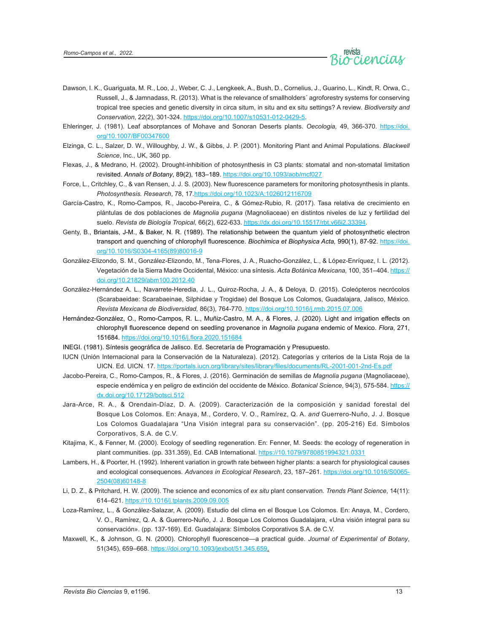

- Dawson, I. K., Guariguata, M. R., Loo, J., Weber, C. J., Lengkeek, A., Bush, D., Cornelius, J., Guarino, L., Kindt, R. Orwa, C., Russell, J., & Jamnadass, R. (2013). What is the relevance of smallholders´ agroforestry systems for conserving tropical tree species and genetic diversity in circa situm, in situ and ex situ settings? A review. *Biodiversity and Conservation*, 22(2), 301-324. <https://doi.org/10.1007/s10531-012-0429-5>.
- Ehleringer, J. (1981). Leaf absorptances of Mohave and Sonoran Deserts plants. *Oecologia,* 49, 366-370. [https://doi.](https://doi.org/10.1007/BF00347600) [org/10.1007/BF00347600](https://doi.org/10.1007/BF00347600)
- Elzinga, C. L., Salzer, D. W., Willoughby, J. W., & Gibbs, J. P. (2001). Monitoring Plant and Animal Populations. *Blackwell Science*, Inc., UK, 360 pp.
- Flexas, J., & Medrano, H. (2002). Drought-inhibition of photosynthesis in C3 plants: stomatal and non-stomatal limitation revisited. *Annals of Botany*, 89(2), 183–189. <https://doi.org/10.1093/aob/mcf027>
- Force, L., Critchley, C., & van Rensen, J. J. S. (2003). New fluorescence parameters for monitoring photosynthesis in plants. *Photosynthesis. Research*, 78, 17.<https://doi.org/10.1023/A:1026012116709>
- García-Castro, K., Romo-Campos, R., Jacobo-Pereira, C., & Gómez-Rubio, R. (2017). Tasa relativa de crecimiento en plántulas de dos poblaciones de *Magnolia pugana* (Magnoliaceae) en distintos niveles de luz y fertilidad del suelo. *Revista de Biología Tropical,* 66(2), 622-633. <https://dx.doi.org/10.15517/rbt.v66i2.33394>.
- Genty, B., Briantais, J-M., & Baker, N. R. (1989). The relationship between the quantum yield of photosynthetic electron transport and quenching of chlorophyll fluorescence. *Biochimica et Biophysica Acta,* 990(1), 87-92. [https://doi.](https://doi.org/10.1016/S0304-4165(89)80016-9) [org/10.1016/S0304-4165\(89\)80016-9](https://doi.org/10.1016/S0304-4165(89)80016-9)
- González-Elizondo, S. M., González-Elizondo, M., Tena-Flores, J. A., Ruacho-González, L., & López-Enríquez, I. L. (2012). Vegetación de la Sierra Madre Occidental, México: una síntesis. *Acta Botánica Mexicana,* 100, 351–404. [https://](https://doi.org/10.21829/abm100.2012.40) [doi.org/10.21829/abm100.2012.40](https://doi.org/10.21829/abm100.2012.40)
- González-Hernández A. L., Navarrete-Heredia, J. L., Quiroz-Rocha, J. A., & Deloya, D. (2015). Coleópteros necrócolos (Scarabaeidae: Scarabaeinae, Silphidae y Trogidae) del Bosque Los Colomos, Guadalajara, Jalisco, México. *Revista Mexicana de Biodiversidad,* 86(3), 764-770. <https://doi.org/10.1016/j.rmb.2015.07.006>
- Hernández-González, O., Romo-Campos, R. L., Muñiz-Castro, M. A., & Flores, J. (2020). Light and irrigation effects on chlorophyll fluorescence depend on seedling provenance in *Magnolia pugana* endemic of Mexico. *Flora*, 271, 151684.<https://doi.org/10.1016/j.flora.2020.151684>
- INEGI. (1981). Síntesis geográfica de Jalisco. Ed. Secretaría de Programación y Presupuesto.
- IUCN (Unión Internacional para la Conservación de la Naturaleza). (2012). Categorías y criterios de la Lista Roja de la UICN. Ed. UICN. 17. <https://portals.iucn.org/library/sites/library/files/documents/RL-2001-001-2nd-Es.pdf>
- Jacobo-Pereira, C., Romo-Campos, R., & Flores, J. (2016). Germinación de semillas de *Magnolia pugana* (Magnoliaceae), especie endémica y en peligro de extinción del occidente de México. *Botanical Science*, 94(3), 575-584. [https://](https://dx.doi.org/10.17129/botsci.512) [dx.doi.org/10.17129/botsci.512](https://dx.doi.org/10.17129/botsci.512)
- Jara-Arce, R. A., & Orendain-Díaz, D. A. (2009). Caracterización de la composición y sanidad forestal del Bosque Los Colomos. En: Anaya, M., Cordero, V. O., Ramírez, Q. A. *and* Guerrero-Nuño, J. J. Bosque Los Colomos Guadalajara "Una Visión integral para su conservación". (pp. 205-216) Ed. Símbolos Corporativos, S.A. de C.V.
- Kitajima, K., & Fenner, M. (2000). Ecology of seedling regeneration. En: Fenner, M. Seeds: the ecology of regeneration in plant communities. (pp. 331.359), Ed. CAB International.<https://10.1079/9780851994321.0331>
- Lambers, H., & Poorter, H. (1992). Inherent variation in growth rate between higher plants: a search for physiological causes and ecological consequences. *Advances in Ecological Research*, 23, 187–261. [https://doi.org/10.1016/S0065-](https://doi.org/10.1016/S0065-2504(08)60148-8) [2504\(08\)60148-8](https://doi.org/10.1016/S0065-2504(08)60148-8)
- Li, D. Z., & Pritchard, H. W. (2009). The science and economics of *ex situ* plant conservation. *Trends Plant Science*, 14(11): 614–621. <https://10.1016/j.tplants.2009.09.005>
- Loza-Ramírez, L., & González-Salazar, A. (2009). Estudio del clima en el Bosque Los Colomos. En: Anaya, M., Cordero, V. O., Ramírez, Q. A. & Guerrero-Nuño, J. J. Bosque Los Colomos Guadalajara, «Una visión integral para su conservación». (pp. 137-169). Ed. Guadalajara: Símbolos Corporativos S.A. de C.V.
- Maxwell, K., & Johnson, G. N. (2000). Chlorophyll fluorescence—a practical guide. *Journal of Experimental of Botany*, 51(345), 659–668. <https://doi.org/10.1093/jexbot/51.345.659>.